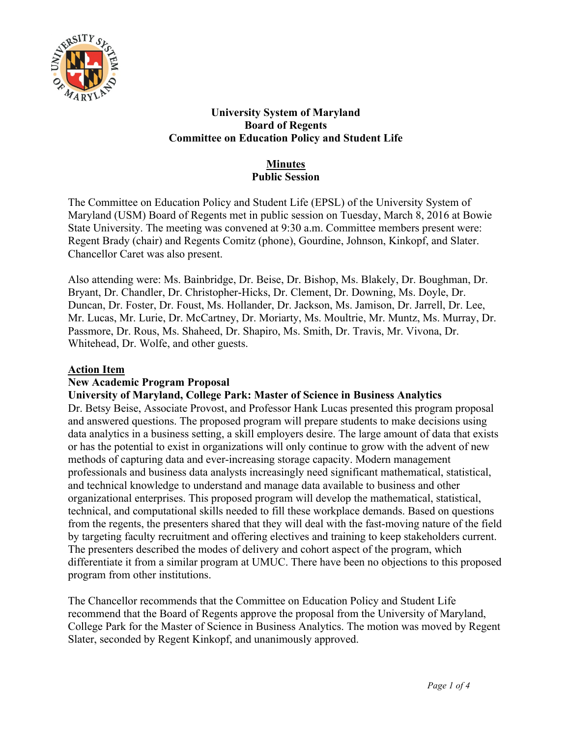

## **University System of Maryland Board of Regents Committee on Education Policy and Student Life**

## **Minutes Public Session**

The Committee on Education Policy and Student Life (EPSL) of the University System of Maryland (USM) Board of Regents met in public session on Tuesday, March 8, 2016 at Bowie State University. The meeting was convened at 9:30 a.m. Committee members present were: Regent Brady (chair) and Regents Comitz (phone), Gourdine, Johnson, Kinkopf, and Slater. Chancellor Caret was also present.

Also attending were: Ms. Bainbridge, Dr. Beise, Dr. Bishop, Ms. Blakely, Dr. Boughman, Dr. Bryant, Dr. Chandler, Dr. Christopher-Hicks, Dr. Clement, Dr. Downing, Ms. Doyle, Dr. Duncan, Dr. Foster, Dr. Foust, Ms. Hollander, Dr. Jackson, Ms. Jamison, Dr. Jarrell, Dr. Lee, Mr. Lucas, Mr. Lurie, Dr. McCartney, Dr. Moriarty, Ms. Moultrie, Mr. Muntz, Ms. Murray, Dr. Passmore, Dr. Rous, Ms. Shaheed, Dr. Shapiro, Ms. Smith, Dr. Travis, Mr. Vivona, Dr. Whitehead, Dr. Wolfe, and other guests.

## **Action Item**

# **New Academic Program Proposal**

# **University of Maryland, College Park: Master of Science in Business Analytics**

Dr. Betsy Beise, Associate Provost, and Professor Hank Lucas presented this program proposal and answered questions. The proposed program will prepare students to make decisions using data analytics in a business setting, a skill employers desire. The large amount of data that exists or has the potential to exist in organizations will only continue to grow with the advent of new methods of capturing data and ever-increasing storage capacity. Modern management professionals and business data analysts increasingly need significant mathematical, statistical, and technical knowledge to understand and manage data available to business and other organizational enterprises. This proposed program will develop the mathematical, statistical, technical, and computational skills needed to fill these workplace demands. Based on questions from the regents, the presenters shared that they will deal with the fast-moving nature of the field by targeting faculty recruitment and offering electives and training to keep stakeholders current. The presenters described the modes of delivery and cohort aspect of the program, which differentiate it from a similar program at UMUC. There have been no objections to this proposed program from other institutions.

The Chancellor recommends that the Committee on Education Policy and Student Life recommend that the Board of Regents approve the proposal from the University of Maryland, College Park for the Master of Science in Business Analytics. The motion was moved by Regent Slater, seconded by Regent Kinkopf, and unanimously approved.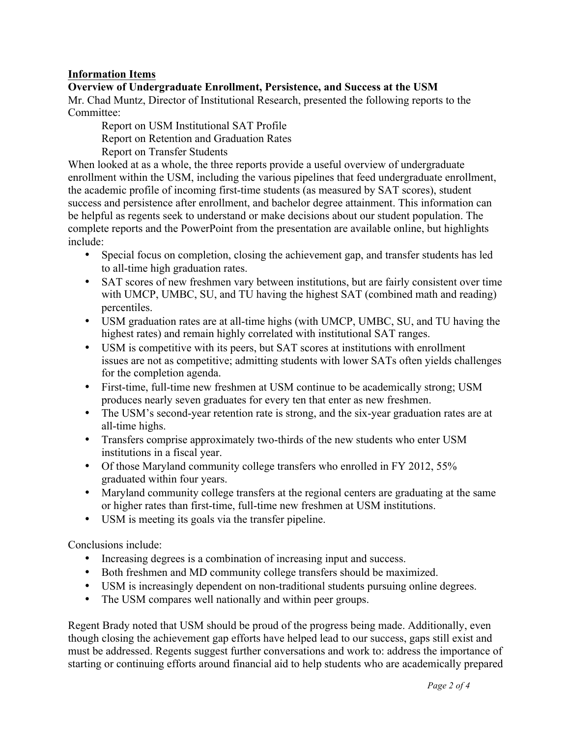## **Information Items**

**Overview of Undergraduate Enrollment, Persistence, and Success at the USM** Mr. Chad Muntz, Director of Institutional Research, presented the following reports to the Committee:

Report on USM Institutional SAT Profile

Report on Retention and Graduation Rates

Report on Transfer Students

When looked at as a whole, the three reports provide a useful overview of undergraduate enrollment within the USM, including the various pipelines that feed undergraduate enrollment, the academic profile of incoming first-time students (as measured by SAT scores), student success and persistence after enrollment, and bachelor degree attainment. This information can be helpful as regents seek to understand or make decisions about our student population. The complete reports and the PowerPoint from the presentation are available online, but highlights include:

- Special focus on completion, closing the achievement gap, and transfer students has led to all-time high graduation rates.
- SAT scores of new freshmen vary between institutions, but are fairly consistent over time with UMCP, UMBC, SU, and TU having the highest SAT (combined math and reading) percentiles.
- USM graduation rates are at all-time highs (with UMCP, UMBC, SU, and TU having the highest rates) and remain highly correlated with institutional SAT ranges.
- USM is competitive with its peers, but SAT scores at institutions with enrollment issues are not as competitive; admitting students with lower SATs often yields challenges for the completion agenda.
- First-time, full-time new freshmen at USM continue to be academically strong; USM produces nearly seven graduates for every ten that enter as new freshmen.
- The USM's second-year retention rate is strong, and the six-year graduation rates are at all-time highs.
- Transfers comprise approximately two-thirds of the new students who enter USM institutions in a fiscal year.
- Of those Maryland community college transfers who enrolled in FY 2012, 55% graduated within four years.
- Maryland community college transfers at the regional centers are graduating at the same or higher rates than first-time, full-time new freshmen at USM institutions.
- USM is meeting its goals via the transfer pipeline.

Conclusions include:

- Increasing degrees is a combination of increasing input and success.
- Both freshmen and MD community college transfers should be maximized.
- USM is increasingly dependent on non-traditional students pursuing online degrees.
- The USM compares well nationally and within peer groups.

Regent Brady noted that USM should be proud of the progress being made. Additionally, even though closing the achievement gap efforts have helped lead to our success, gaps still exist and must be addressed. Regents suggest further conversations and work to: address the importance of starting or continuing efforts around financial aid to help students who are academically prepared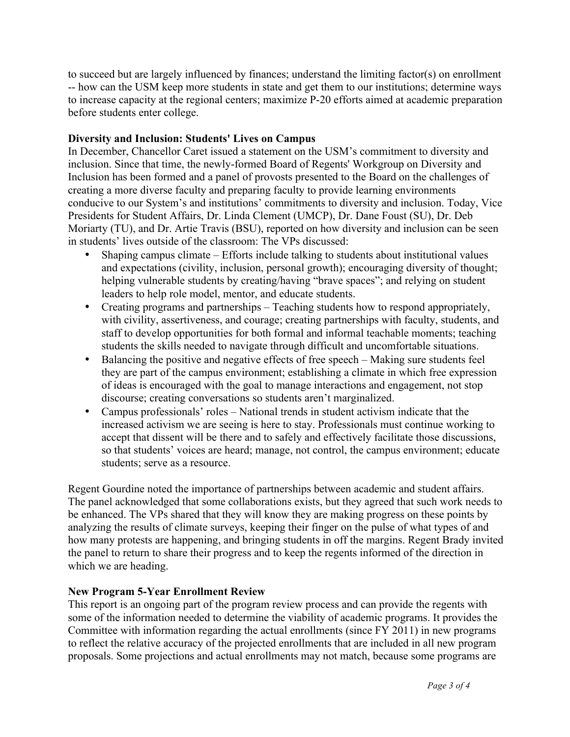to succeed but are largely influenced by finances; understand the limiting factor(s) on enrollment -- how can the USM keep more students in state and get them to our institutions; determine ways to increase capacity at the regional centers; maximize P-20 efforts aimed at academic preparation before students enter college.

#### **Diversity and Inclusion: Students' Lives on Campus**

In December, Chancellor Caret issued a statement on the USM's commitment to diversity and inclusion. Since that time, the newly-formed Board of Regents' Workgroup on Diversity and Inclusion has been formed and a panel of provosts presented to the Board on the challenges of creating a more diverse faculty and preparing faculty to provide learning environments conducive to our System's and institutions' commitments to diversity and inclusion. Today, Vice Presidents for Student Affairs, Dr. Linda Clement (UMCP), Dr. Dane Foust (SU), Dr. Deb Moriarty (TU), and Dr. Artie Travis (BSU), reported on how diversity and inclusion can be seen in students' lives outside of the classroom: The VPs discussed:

- Shaping campus climate Efforts include talking to students about institutional values and expectations (civility, inclusion, personal growth); encouraging diversity of thought; helping vulnerable students by creating/having "brave spaces"; and relying on student leaders to help role model, mentor, and educate students.
- Creating programs and partnerships Teaching students how to respond appropriately, with civility, assertiveness, and courage; creating partnerships with faculty, students, and staff to develop opportunities for both formal and informal teachable moments; teaching students the skills needed to navigate through difficult and uncomfortable situations.
- Balancing the positive and negative effects of free speech Making sure students feel they are part of the campus environment; establishing a climate in which free expression of ideas is encouraged with the goal to manage interactions and engagement, not stop discourse; creating conversations so students aren't marginalized.
- Campus professionals' roles National trends in student activism indicate that the increased activism we are seeing is here to stay. Professionals must continue working to accept that dissent will be there and to safely and effectively facilitate those discussions, so that students' voices are heard; manage, not control, the campus environment; educate students; serve as a resource.

Regent Gourdine noted the importance of partnerships between academic and student affairs. The panel acknowledged that some collaborations exists, but they agreed that such work needs to be enhanced. The VPs shared that they will know they are making progress on these points by analyzing the results of climate surveys, keeping their finger on the pulse of what types of and how many protests are happening, and bringing students in off the margins. Regent Brady invited the panel to return to share their progress and to keep the regents informed of the direction in which we are heading.

## **New Program 5-Year Enrollment Review**

This report is an ongoing part of the program review process and can provide the regents with some of the information needed to determine the viability of academic programs. It provides the Committee with information regarding the actual enrollments (since FY 2011) in new programs to reflect the relative accuracy of the projected enrollments that are included in all new program proposals. Some projections and actual enrollments may not match, because some programs are